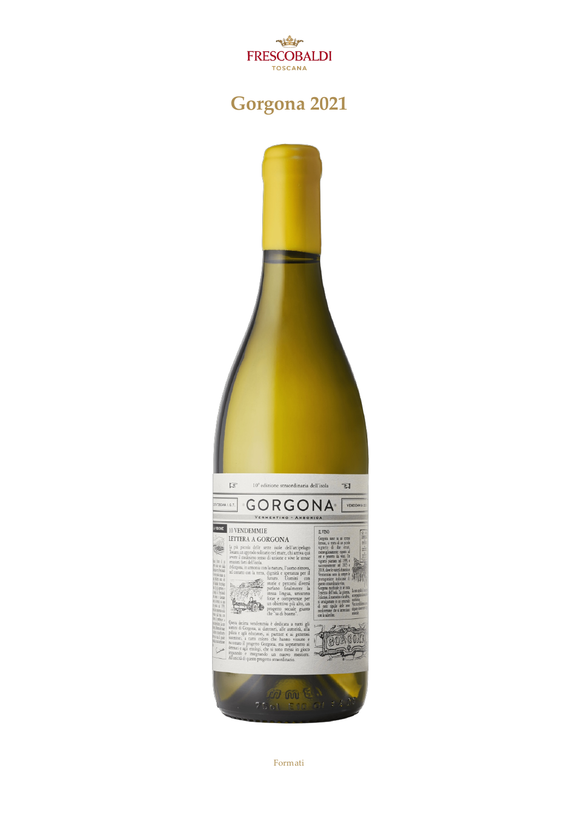

## **Gorgona2021**



Formati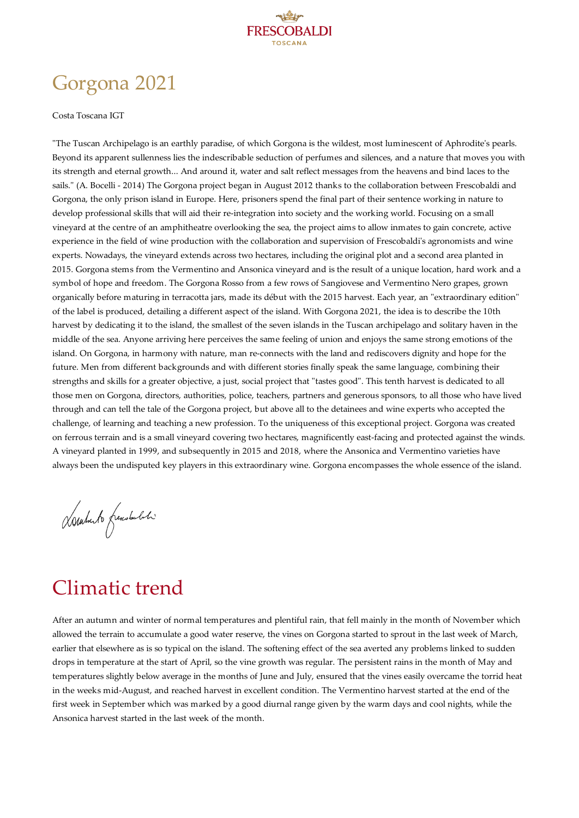

# Gorgona 2021

#### Costa Toscana IGT

"The Tuscan Archipelago is an earthly paradise, of which Gorgona is the wildest, most luminescent of Aphrodite's pearls. Beyond its apparent sullenness lies the indescribable seduction of perfumes and silences, and a nature that moves you with its strength and eternal growth... And around it, water and salt reflect messages from the heavens and bind laces to the sails." (A. Bocelli - 2014) The Gorgona project began in August 2012 thanks to the collaboration between Frescobaldi and Gorgona, the only prison island in Europe. Here, prisoners spend the final part of their sentence working in nature to develop professional skills that will aid their re-integration into society and the working world. Focusing on asmall vineyard at the centre of an amphitheatre overlooking the sea, the project aims to allow inmates to gain concrete, active experience in the field of wine production with the collaboration and supervision of Frescobaldi's agronomists and wine experts. Nowadays, the vineyard extends across two hectares, including the original plot and asecond area planted in 2015. Gorgonastems from the Vermentino and Ansonica vineyard and is the result of a unique location, hard work and a symbol of hope and freedom. The Gorgona Rosso from a few rows of Sangiovese and Vermentino Nero grapes, grown organically before maturing in terracottajars, made its début with the 2015 harvest. Each year, an "extraordinary edition" of the label is produced, detailing a different aspect of the island. With Gorgona2021, the ideais to describe the 10th harvest by dedicating it to the island, the smallest of the seven islands in the Tuscan archipelago and solitary haven in the middle of the sea. Anyone arriving here perceives the same feeling of union and enjoys the same strong emotions of the island. On Gorgona, in harmony with nature, man re-connects with the land and rediscovers dignity and hope for the future. Men from different backgrounds and with different stories finally speak the same language, combining their strengths and skills for a greater objective, ajust, social project that "tastes good". This tenth harvest is dedicated to all those men on Gorgona, directors, authorities, police, teachers, partners and generous sponsors, to all those who have lived through and can tell the tale of the Gorgona project, but above all to the detainees and wine experts who accepted the challenge, of learning and teaching a new profession. To the uniqueness of this exceptional project. Gorgona was created on ferrous terrain and is a small vineyard covering two hectares, magnificently east-facing and protected against the winds. A vineyard planted in 1999, and subsequently in 2015 and 2018, where the Ansonicaand Vermentino varieties have always been the undisputed key players in this extraordinary wine. Gorgona encompasses the whole essence of the island.

Danhuto frenskabeti

### Climatic trend

After an autumn and winter of normal temperatures and plentiful rain, that fell mainly in the month of November which allowed the terrain to accumulate a good water reserve, the vines on Gorgonastarted to sprout in the last week of March, earlier that elsewhere as is so typical on the island. The softening effect of the sea averted any problems linked to sudden drops in temperature at the start of April, so the vine growth was regular. The persistent rains in the month of May and temperatures slightly below average in the months of June and July, ensured that the vines easily overcame the torrid heat in the weeks mid-August, and reached harvest in excellent condition. The Vermentino harvest started at the end of the first week in September which was marked by a good diurnal range given by the warm days and cool nights, while the Ansonica harvest started in the last week of the month.